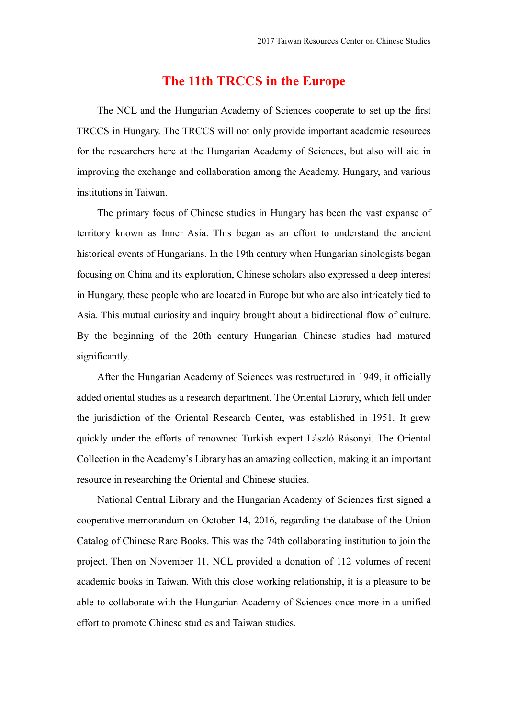## **The 11th TRCCS in the Europe**

The NCL and the Hungarian Academy of Sciences cooperate to set up the first TRCCS in Hungary. The TRCCS will not only provide important academic resources for the researchers here at the Hungarian Academy of Sciences, but also will aid in improving the exchange and collaboration among the Academy, Hungary, and various institutions in Taiwan.

The primary focus of Chinese studies in Hungary has been the vast expanse of territory known as Inner Asia. This began as an effort to understand the ancient historical events of Hungarians. In the 19th century when Hungarian sinologists began focusing on China and its exploration, Chinese scholars also expressed a deep interest in Hungary, these people who are located in Europe but who are also intricately tied to Asia. This mutual curiosity and inquiry brought about a bidirectional flow of culture. By the beginning of the 20th century Hungarian Chinese studies had matured significantly.

After the Hungarian Academy of Sciences was restructured in 1949, it officially added oriental studies as a research department. The Oriental Library, which fell under the jurisdiction of the Oriental Research Center, was established in 1951. It grew quickly under the efforts of renowned Turkish expert László Rásonyi. The Oriental Collection in the Academy's Library has an amazing collection, making it an important resource in researching the Oriental and Chinese studies.

National Central Library and the Hungarian Academy of Sciences first signed a cooperative memorandum on October 14, 2016, regarding the database of the Union Catalog of Chinese Rare Books. This was the 74th collaborating institution to join the project. Then on November 11, NCL provided a donation of 112 volumes of recent academic books in Taiwan. With this close working relationship, it is a pleasure to be able to collaborate with the Hungarian Academy of Sciences once more in a unified effort to promote Chinese studies and Taiwan studies.